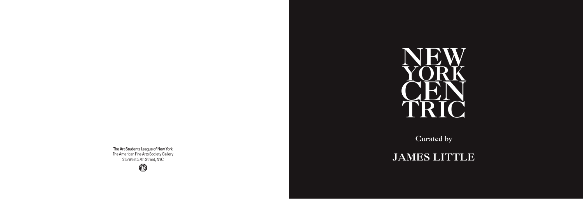

Curated by

# JAMES LITTLE

**The Art Students League of New York** The American Fine Arts Society Gallery 215 West 57th Street, NYC

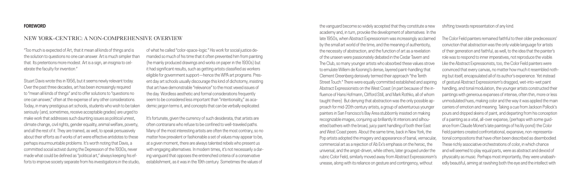"Too much is expected of Art, that it mean all kinds of things and is the solution to questions no one can answer. Art is much simpler than that. Its pretentions more modest. Art is a sign, an insignia to celebrate the faculty for invention."

Stuart Davis wrote this in 1956, but it seems newly relevant today. Over the past three decades, art has been increasingly required to "mean all kinds of things" and to offer solutions to "questions no one can answer," often at the expense of any other considerations. Today, in many prestigious art schools, students who wish to be taken seriously (and, sometimes, receive acceptable grades) are urged to make work that addresses such daunting issues as political unrest, climate change, civil rights, gender equality, animal welfare, poverty, and all the rest of it. They are trained, as well, to speak persuasively about their efforts as if works of art were effective antidotes to these perhaps insurmountable problems. It's worth noting that Davis, a committed social activist during the Depression of the 1930s, never made what could be defined as "political art," always keeping his efforts to improve society separate from his investigations in the studio,

It's fortunate, given the currency of such desiderata, that artists are often contrarians who refuse to be confined to well-traveled paths. Many of the most interesting artists are often the most contrary, so no matter how prevalent or fashionable a set of values may appear to be, at a given moment, there are always talented rebels who present us with engaging alternatives. In modern times, it's not necessarily a daring vanguard that opposes the entrenched criteria of a conservative establishment, as it was in the 19th century. Sometimes the values of

of what he called "color-space-logic." His work for social justice demanded so much of his time that it often prevented him from painting (he mainly produced drawings and works on paper in the 1930s) but it had significant results, such as getting artists classified as workers eligible for government support—hence the WPA art programs. Present day art schools usually discourage this kind of dichotomy, insisting that art have demonstrable "relevance" to the most vexed issues of the day. Wordless aesthetic and formal considerations frequently seem to be considered less important than "intentionality," as academic jargon terms it, and concepts that can be verbally explicated.

#### **FOREWORD**

#### NEW YORK–CENTRIC: A NON-COMPREHENSIVE OVERVIEW

the vanguard become so widely accepted that they constitute a new academy and, in turn, provoke the development of alternatives. In the late 1950s, when Abstract Expressionism was increasingly acclaimed by the small art world of the time, and the meaning of authenticity, the necessity of abstraction, and the function of art as a revelation of the unseen were passionately debated in the Cedar Tavern and The Club, so many younger artists who absorbed these values strove to emulate Willem de Kooning's dense, layered paint-handling that Clement Greenberg derisively termed their approach "the Tenth Street Touch." There were equally committed established and aspiring Abstract Expressionists on the West Coast (in part because of the influence of Hans Hofmann, Clifford Still, and Mark Rothko, all of whom taught there). But denying that abstraction was the only possible approach for mid-20th century artists, a group of adventurous younger painters in San Francisco's Bay Area stubbornly insisted on making recognizable images, conjuring up brilliantly lit interiors and silhouetted bathers with the broad, juicy paint handling of both their East and West Coast peers. About the same time, back in New York, the Pop artists adopted the imagery and appearance of banal, vernacular, commercial art as a rejection of Ab Ex's emphasis on the heroic, the universal, and the angst-driven, while others, later grouped under the rubric Color Field, similarly moved away from Abstract Expressionism's unease, along with its reliance on gesture and contingency, without shifting towards representation of any kind. The Color Field painters remained faithful to their older predecessors' conviction that abstraction was the only viable language for artists of their generation and faithful, as well, to the idea that the painter's role was to respond to inner imperatives, not reproduce the visible. Like the Abstract Expressionists, too, the Color Field painters were convinced that every canvas, no matter how much it resembled nothing but itself, encapsulated all of its author's experience. Yet instead of gestural Abstract Expressionism's dragged, wet-into-wet paint handling, and tonal modulation, the younger artists constructed their paintings with generous expanses of intense, often thin, more or less unmodulated hues, making color and the way it was applied the main carriers of emotion and meaning. Taking a cue from Jackson Pollock's pours and dripped skeins of paint, and departing from his conception of a painting as a vital, all-over expanse, (perhaps with some guidance from Claude Monet's late paintings of his lily pond) the Color Field painters created confrontational, expansive, non-representational compositions that have often been described as disembodied. These richly associative orchestrations of color, in which chance and will seemed to play equal parts, were as abstract and devoid of physicality as music. Perhaps most importantly, they were unabashedly beautiful, aiming at ravishing both the eye and the intellect with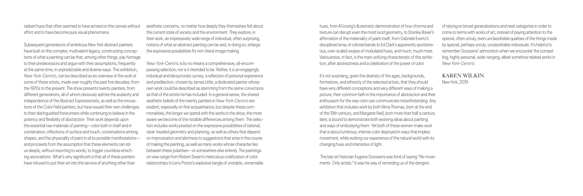radiant hues that often seemed to have arrived on the canvas without effort and to have become pure visual phenomena.

Subsequent generations of ambitious New York abstract painters have built on this complex, multivalent legacy, constructing conceptions of what a painting can be that, among other things, pay homage to their predecessors and argue with their assumptions, frequently at the same time, in unpredictable and diverse ways. This exhibition, *New York-Centric*, can be described as an overview of the work of some of these artists, made over roughly the past five decades, from the 1970s to the present. The show presents twenty painters, from different generations, all of whom obviously admire the audacity and independence of the Abstract Expressionists, as well as the innovations of the Color Field painters, but have issued their own challenges to their distinguished forerunners while continuing to believe in the potency and flexibility of abstraction. Their work depends upon the essential raw materials of painting—color both in itself and in combination, inflections of surface and touch, conversations among shapes, and the physicality of paint in all its possible manifestations and proceeds from the assumption that these elements can stir us deeply, without resorting to words, to trigger countless enriching associations. What's very significant is that all of these painters have refused to put their art into the service of anything other than

aesthetic concerns, no matter how deeply they themselves felt about the current state of society and the environment. They explore, in their work, an impressively wide range of individual, often surprising, notions of what an abstract painting can be and, in doing so, enlarge the expressive possibilities for non-literal image making.

> It's not surprising, given the diversity of the ages, backgrounds, formations, and ethnicity of the selected artists, that they should have very different conceptions and very different ways of making a picture, their common faith in the importance of abstraction and their enthusiasm for the way color can communicate notwithstanding. Any exhibition that includes work by both Alma Thomas, born at the end of the 19th century, and Margaret Neill, born more than half a century later, is bound to demonstrate both evolving ideas about painting and ways of embodying them. Yet both of these women make work that is about luminous, intense color deployed in ways that implies movement, while evoking our experience of the natural world with its changing hues and intensities of light.

*New York-Centric* is by no means a comprehensive, all-encompassing selection, nor is it intended to be. Rather, it is an engagingly individual and idiosyncratic survey, a reflection of personal experience and predilection, chosen by James Little, a dedicated painter whose own work could be described as stemming from the same convictions as that of the artists he has included. In a general sense, the shared aesthetic beliefs of the twenty painters in *New York-Centric* are evident, especially on first acquaintance, but despite these commonalities, the longer we spend with the works in the show, the more aware we become of the notable differences among them. The selection includes works posited on the expressive possibilities of rational, clear-headed geometry and planning, as well as others that depend on improvisation and alertness to suggestions that arise in the course of making the painting, as well as many works whose character lies between these polarities—or somewhere else entirely. The paintings on view range from Robert Swain's meticulous codification of color relationships to Larry Poons's explosive tangle of unstable, unnamable

hues; from Al Loving's illusionistic demonstration of how chroma and texture can disrupt even the most lucid geometry, to Stanley Boxer's affirmation of the materiality of paint itself; from Gabriele Evertz's disciplined array of colored bands to Ed Clark's apparently spontaneous, over-scaled swipes of modulated hues; and much, much more. Variousness, in fact, is the main unifying characteristic of this exhibition, after abstractness and a celebration of the power of color.

 The late art historian Eugene Goossens was fond of saying "No movements. Only artists." It was his way of reminding us of the dangers

of relying on broad generalizations and neat categories in order to come to terms with works of art, instead of paying attention to the special, often unruly, even unclassifiable qualities of the things made by special, perhaps unruly, unclassifiable individuals. It's helpful to remember Goossens' admonition when we encounter the compelling, highly personal, wide-ranging, albeit somehow related works in *New York-Centric*.

# KAREN WILKIN

New York, 2019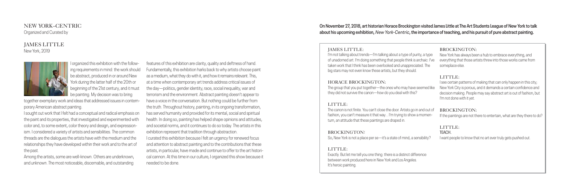#### NEW YORK–CENTRIC Organized and Curated by

#### JAMES LITTLE New York, 2019



I organized this exhibition with the following requirements in mind: the work should be abstract, produced in or around New York during the latter half of the 20th or beginning of the 21st century, and it must be painting. My decision was to bring

together exemplary work and ideas that addressed issues in contemporary American abstract painting.

I sought out work that I felt had a conceptual and radical emphasis on the paint and its properties, that investigated and experimented with color and, to some extent, color theory and design, and expressionism. I considered a variety of artists and sensibilities. The common threads are the dialogues the artists have with the medium and the relationships they have developed within their work and to the art of the past.

Among the artists, some are well-known. Others are underknown, and unknown. The most noticeable, discernable, and outstanding

features of this exhibition are clarity, quality and deftness of hand. Fundamentally, this exhibition harks back to why artists choose paint as a medium, what they do with it, and how it remains relevant. This, at a time when contemporary art trends address critical issues of the day—politics, gender identity, race, social inequality, war and terrorism and the environment. Abstract painting doesn't appear to have a voice in the conversation. But nothing could be further from the truth. Throughout history, painting, in its ongoing transformation, has served humanity and provided for its mental, social and spiritual health. In doing so, painting has helped shape opinions and attitudes, and societal norms, and it continues to do so today. The artists in this exhibition represent that tradition through abstraction.

> Exactly. But let me tell you one thing: there is a between work produced here in New York and I It's heroic painting.

I curated this exhibition because I felt an urgency for renewed focus and attention to abstract painting and to the contributions that these artists, in particular, have made and continue to offer to the art historical cannon. At this time in our culture, I organized this show because it needed to be done.

#### JAMES LITTLE:

I'm not talking about trends—I'm talking about of unadorned art. I'm doing something that people taken work that I think has been overlooked and big stars may not even know these artists, but they

#### HORACE BROCKINGTON:

The group that you put together—the ones who they did not survive the canon—how do you de

#### LITTLE:

The canon is not finite. You can't close the door. fashion, you can't measure it that way... I'm tryi tum, an attitude that these paintings are draped

# BROCKINGTON**:**

So, New York is not a place per se—it's a state

#### LITTLE:

| a type of purity, a type<br>ople think is archaic: I've<br>d unappreciated. The<br>they should. | <b>BROCKINGTON:</b><br>New York has always been a hub to embrace everything, and<br>everything that those artists threw into those works came from<br>someplace else.                                                                                  |
|-------------------------------------------------------------------------------------------------|--------------------------------------------------------------------------------------------------------------------------------------------------------------------------------------------------------------------------------------------------------|
| o may have seemed like<br>eal with this?                                                        | LITTLE:<br>I see certain patterns of making that can only happen in this city;<br>New York City is porous, and it demands a certain confidence and<br>decision making. People may say abstract art is out of fashion, but<br>I'm not done with it yet. |
| . Artists go in and out of<br>ing to show a momen-<br>din.                                      | <b>BROCKINGTON:</b><br>If the paintings are not there to entertain, what are they there to do?                                                                                                                                                         |
| of mind, a sensibility?                                                                         | LITTLE:<br>TEACH.<br>I want people to know that no art ever truly gets pushed out.                                                                                                                                                                     |
| distinct difference<br>os Angeles.                                                              |                                                                                                                                                                                                                                                        |

#### **On November 27, 2018, art historian Horace Brockington visited James Little at The Art Students League of New York to talk about his upcoming exhibition,** *New York-Centric***, the importance of teaching, and his pursuit of pure abstract painting.**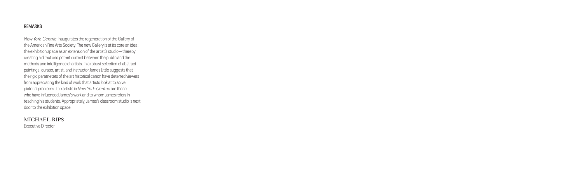#### **REMARKS**

*New York-Centric* inaugurates the regeneration of the Gallery of the American Fine Arts Society. The new Gallery is at its core an idea: the exhibition space as an extension of the artist's studio—thereby creating a direct and potent current between the public and the methods and intelligence of artists. In a robust selection of abstract paintings, curator, artist, and instructor James Little suggests that the rigid parameters of the art historical canon have deterred viewers from appreciating the kind of work that artists look at to solve pictorial problems. The artists in *New York-Centric* are those who have influenced James's work and to whom James refers in teaching his students. Appropriately, James's classroom studio is next door to the exhibition space.

# MICHAEL RIPS

Executive Director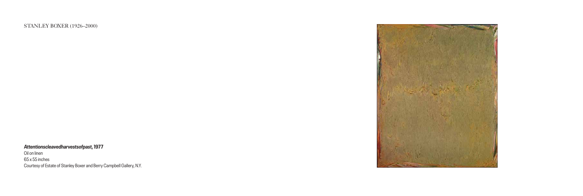STANLEY BOXER (1926–2000)

**Attentionscleavedharvestsofpast, 1977**

Oil on linen 65 x 55 inches Courtesy of Estate of Stanley Boxer and Berry Campbell Gallery, N.Y.

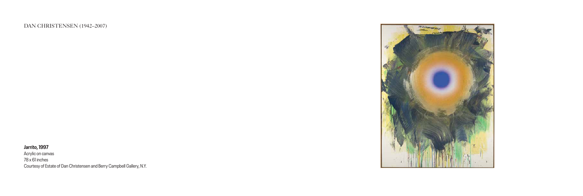#### DAN CHRISTENSEN (1942–2007)

**Jarrito, 1997**

Acrylic on canvas 78 x 61 inches Courtesy of Estate of Dan Christensen and Berry Campbell Gallery, N.Y.

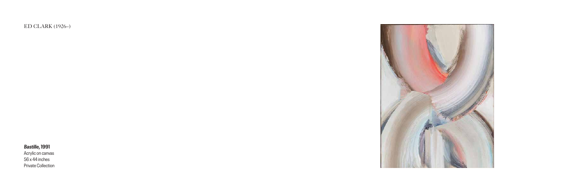ED CLARK (1926–)

# **Bastille, 1991**

Acrylic on canvas 56 x 44 inches Private Collection

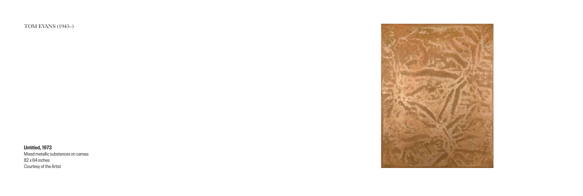TOM EVANS (1943–)

**Untitled, 1973** Mixed metallic substances on canvas 82 x 64 inches Courtesy of the Artist

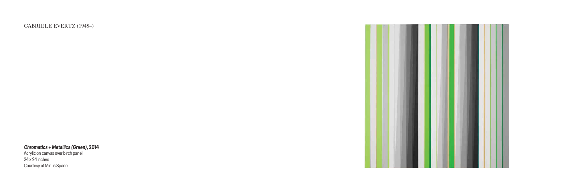GABRIELE EVERTZ (1945–)

**Chromatics + Metallics (Green), 2014**

Acrylic on canvas over birch panel 24 x 24 inches Courtesy of Minus Space

![](_page_9_Picture_3.jpeg)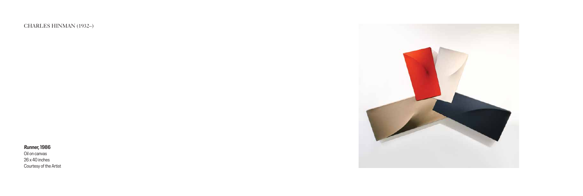### CHARLES HINMAN (1932–)

#### **Runner, 1986**

Oil on canvas 26 x 40 inches Courtesy of the Artist

![](_page_10_Picture_3.jpeg)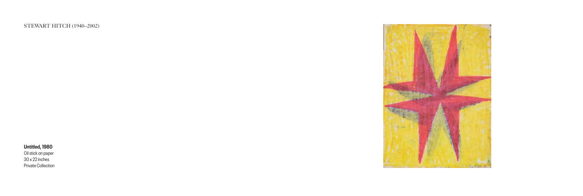STEWART HITCH (1940–2002)

# **Untitled, 1980**

Oil stick on paper 30 x 22 inches Private Collection

![](_page_11_Picture_3.jpeg)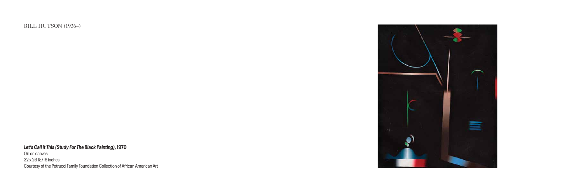BILL HUTSON (1936–)

**Let's Call It This (Study For The Black Painting), 1970**

Oil on canvas 32 x 26 15/16 inches Courtesy of the Petrucci Family Foundation Collection of African American Art

![](_page_12_Picture_3.jpeg)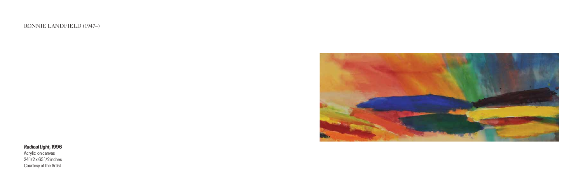# RONNIE LANDFIELD (1947–)

**Radical Light, 1996**

Acrylic on canvas 24 1/2 x 65 1/2 inches Courtesy of the Artist

![](_page_13_Picture_3.jpeg)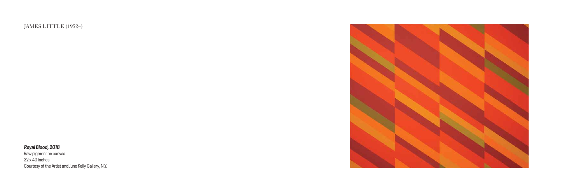JAMES LITTLE (1952–)

**Royal Blood, 2018**

Raw pigment on canvas 32 x 40 inches Courtesy of the Artist and June Kelly Gallery, N.Y.

![](_page_14_Picture_3.jpeg)

![](_page_14_Picture_4.jpeg)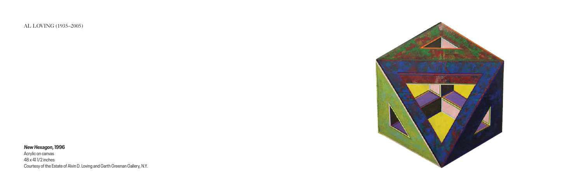AL LOVING (1935–2005)

**New Hexagon, 1996**

Acrylic on canvas 48 x 41 1/2 inches Courtesy of the Estate of Alvin D. Loving and Garth Greenan Gallery, N.Y.

![](_page_15_Picture_3.jpeg)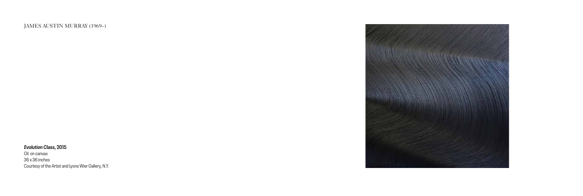# JAMES AUSTIN MURRAY (1969–)

#### **Evolution Class, 2015**

Oil on canvas 36 x 36 inches Courtesy of the Artist and Lyons Wier Gallery, N.Y.

![](_page_16_Picture_3.jpeg)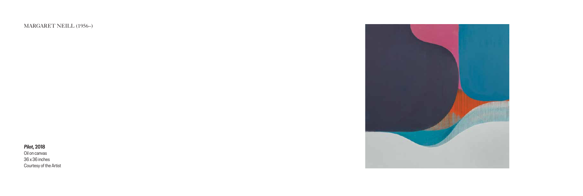MARGARET NEILL (1956–)

# **Pilot, 2018**

Oil on canvas 36 x 36 inches Courtesy of the Artist

![](_page_17_Picture_3.jpeg)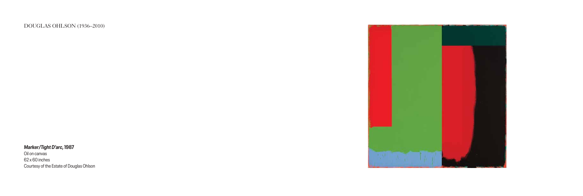#### DOUGLAS OHLSON (1936–2010)

# **Marker/Tight D'arc, 1987**

Oil on canvas 62 x 60 inches Courtesy of the Estate of Douglas Ohlson

![](_page_18_Picture_3.jpeg)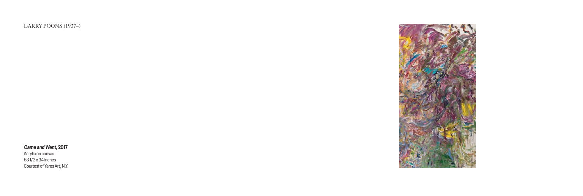LARRY POONS (1937–)

#### **Came and Went, 2017**

Acrylic on canvas 63 1/2 x 34 inches Courtest of Yares Art, N.Y.

![](_page_19_Picture_3.jpeg)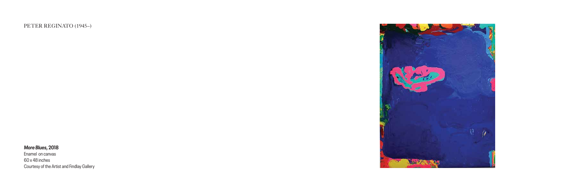PETER REGINATO (1945–)

#### **More Blues, 2018**

Enamel on canvas 60 x 48 inches Courtesy of the Artist and Findlay Gallery

![](_page_20_Picture_3.jpeg)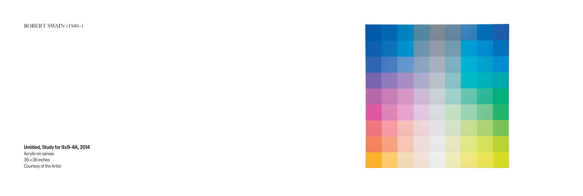ROBERT SWAIN (1940–)

**Untitled, Study for 9x9-4A, 2014**

Acrylic on canvas 36 x 36 inches Courtesy of the Artist

![](_page_21_Picture_3.jpeg)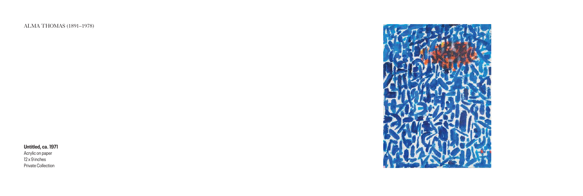ALMA THOMAS (1891–1978)

**Untitled, ca. 1971**

Acrylic on paper 12 x 9 inches Private Collection

![](_page_22_Picture_4.jpeg)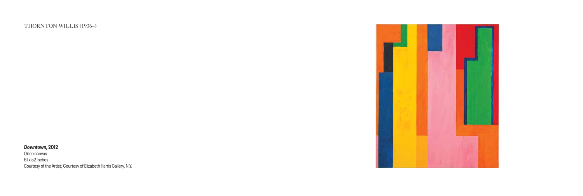THORNTON WILLIS (1936–)

#### **Downtown, 2012**

Oil on canvas 61 x 52 inches Courtesy of the Artist; Courtesy of Elizabeth Harris Gallery, N.Y.

![](_page_23_Picture_3.jpeg)